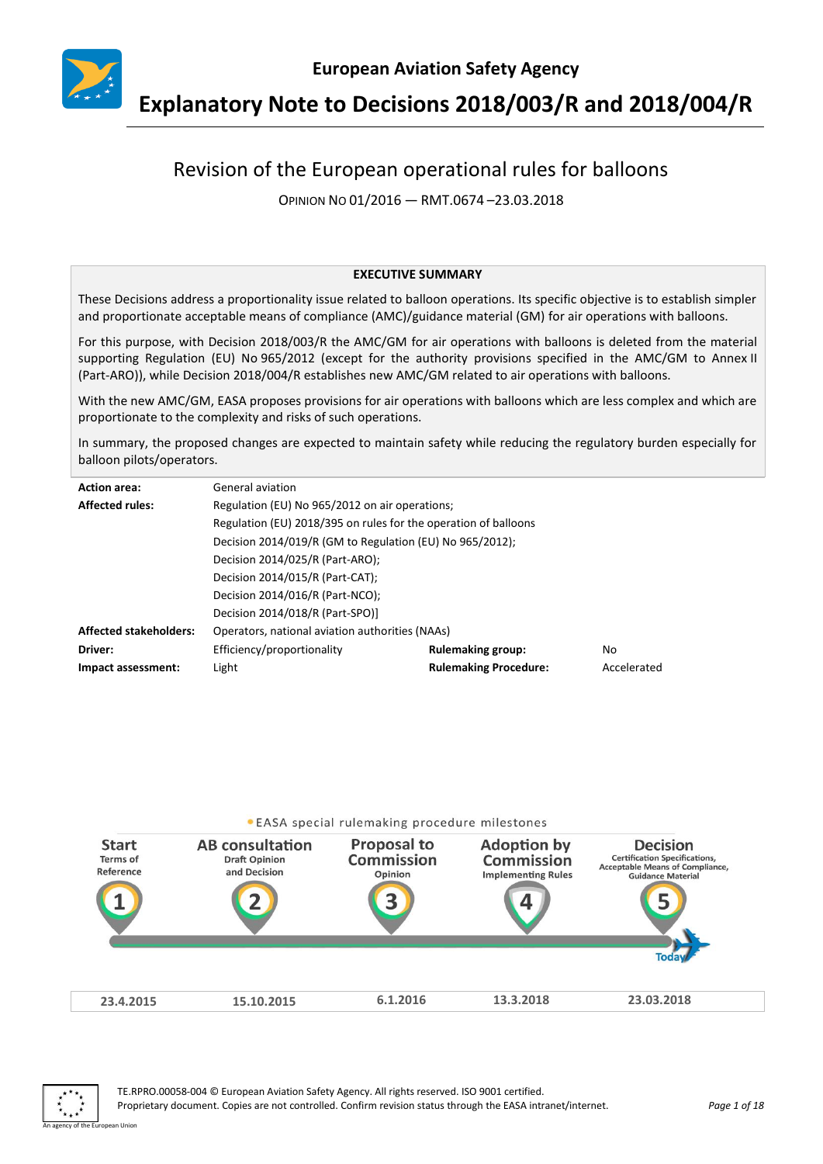

# **Explanatory Note to Decisions 2018/003/R and 2018/004/R**

## Revision of the European operational rules for balloons

OPINION NO 01/2016 — RMT.0674 –23.03.2018

#### **EXECUTIVE SUMMARY**

These Decisions address a proportionality issue related to balloon operations. Its specific objective is to establish simpler and proportionate acceptable means of compliance (AMC)/guidance material (GM) for air operations with balloons.

For this purpose, with Decision 2018/003/R the AMC/GM for air operations with balloons is deleted from the material supporting Regulation (EU) No 965/2012 (except for the authority provisions specified in the AMC/GM to Annex II (Part-ARO)), while Decision 2018/004/R establishes new AMC/GM related to air operations with balloons.

With the new AMC/GM, EASA proposes provisions for air operations with balloons which are less complex and which are proportionate to the complexity and risks of such operations.

In summary, the proposed changes are expected to maintain safety while reducing the regulatory burden especially for balloon pilots/operators.

| <b>Action area:</b>           | General aviation                                                |                              |             |
|-------------------------------|-----------------------------------------------------------------|------------------------------|-------------|
| <b>Affected rules:</b>        | Regulation (EU) No 965/2012 on air operations;                  |                              |             |
|                               | Regulation (EU) 2018/395 on rules for the operation of balloons |                              |             |
|                               | Decision 2014/019/R (GM to Regulation (EU) No 965/2012);        |                              |             |
|                               | Decision 2014/025/R (Part-ARO);                                 |                              |             |
|                               | Decision 2014/015/R (Part-CAT);                                 |                              |             |
|                               | Decision 2014/016/R (Part-NCO);                                 |                              |             |
|                               | Decision 2014/018/R (Part-SPO)]                                 |                              |             |
| <b>Affected stakeholders:</b> | Operators, national aviation authorities (NAAs)                 |                              |             |
| Driver:                       | Efficiency/proportionality                                      | <b>Rulemaking group:</b>     | No          |
| Impact assessment:            | Light                                                           | <b>Rulemaking Procedure:</b> | Accelerated |



An agency of the European Union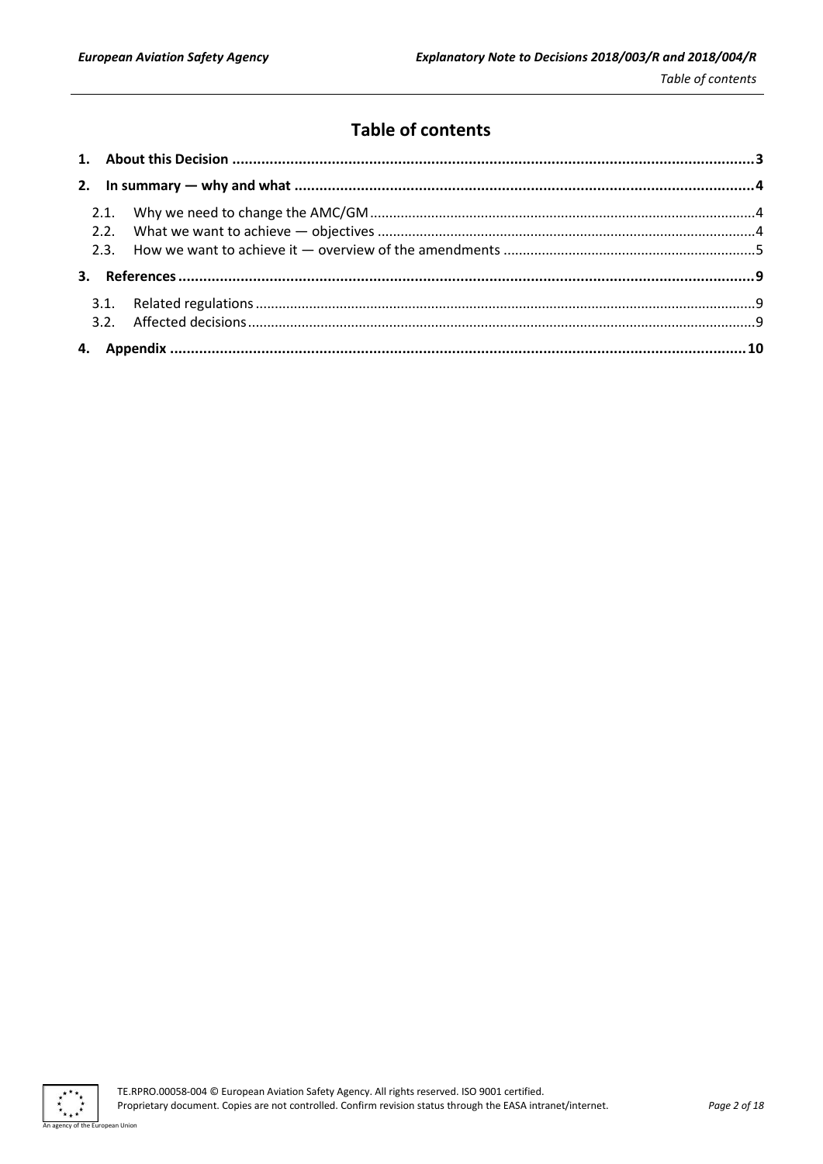## **Table of contents**

 $\cdot$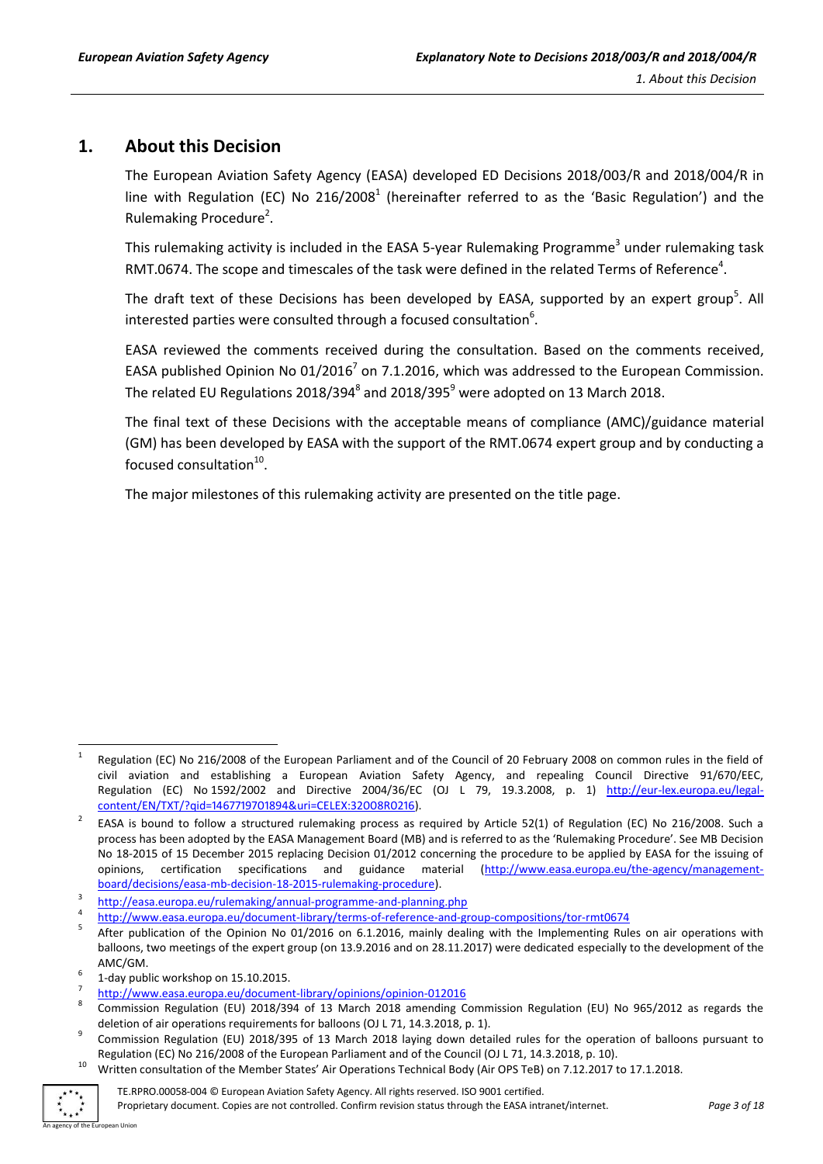## <span id="page-2-0"></span>**1. About this Decision**

The European Aviation Safety Agency (EASA) developed ED Decisions 2018/003/R and 2018/004/R in line with Regulation (EC) No 216/2008<sup>1</sup> (hereinafter referred to as the 'Basic Regulation') and the Rulemaking Procedure<sup>2</sup>.

This rulemaking activity is included in the EASA 5-year Rulemaking Programme<sup>3</sup> under rulemaking task RMT.0674. The scope and timescales of the task were defined in the related Terms of Reference<sup>4</sup>.

The draft text of these Decisions has been developed by EASA, supported by an expert group<sup>5</sup>. All interested parties were consulted through a focused consultation<sup>6</sup>.

EASA reviewed the comments received during the consultation. Based on the comments received, EASA published Opinion No 01/2016<sup>7</sup> on 7.1.2016, which was addressed to the European Commission. The related EU Regulations 2018/394 $^8$  and 2018/395 $^9$  were adopted on 13 March 2018.

The final text of these Decisions with the acceptable means of compliance (AMC)/guidance material (GM) has been developed by EASA with the support of the RMT.0674 expert group and by conducting a focused consultation $^{10}$ .

The major milestones of this rulemaking activity are presented on the title page.

<sup>10</sup> Written consultation of the Member States' Air Operations Technical Body (Air OPS TeB) on 7.12.2017 to 17.1.2018.



**.** 

Proprietary document. Copies are not controlled. Confirm revision status through the EASA intranet/internet. *Page 3 of 18*

<sup>1</sup> Regulation (EC) No 216/2008 of the European Parliament and of the Council of 20 February 2008 on common rules in the field of civil aviation and establishing a European Aviation Safety Agency, and repealing Council Directive 91/670/EEC, Regulation (EC) No 1592/2002 and Directive 2004/36/EC (OJ L 79, 19.3.2008, p. 1) http://eur-[lex.europa.eu/legal](http://eur-lex.europa.eu/legal-content/EN/TXT/?qid=1467719701894&uri=CELEX:32008R0216)[content/EN/TXT/?qid=1467719701894&uri=CELEX:32008R0216\)](http://eur-lex.europa.eu/legal-content/EN/TXT/?qid=1467719701894&uri=CELEX:32008R0216).

<sup>2</sup> EASA is bound to follow a structured rulemaking process as required by Article 52(1) of Regulation (EC) No 216/2008. Such a process has been adopted by the EASA Management Board (MB) and is referred to as the 'Rulemaking Procedure'. See MB Decision No 18-2015 of 15 December 2015 replacing Decision 01/2012 concerning the procedure to be applied by EASA for the issuing of opinions, certification specifications and guidance material [\(http://www.easa.europa.eu/the-agency/management](http://www.easa.europa.eu/the-agency/management-board/decisions/easa-mb-decision-18-2015-rulemaking-procedure)[board/decisions/easa-mb-decision-18-2015-rulemaking-procedure\)](http://www.easa.europa.eu/the-agency/management-board/decisions/easa-mb-decision-18-2015-rulemaking-procedure).

<sup>3</sup> <http://easa.europa.eu/rulemaking/annual-programme-and-planning.php>

<sup>4</sup> <http://www.easa.europa.eu/document-library/terms-of-reference-and-group-compositions/tor-rmt0674>

<sup>5</sup> After publication of the Opinion No 01/2016 on 6.1.2016, mainly dealing with the Implementing Rules on air operations with balloons, two meetings of the expert group (on 13.9.2016 and on 28.11.2017) were dedicated especially to the development of the AMC/GM.

<sup>6</sup> 1-day public workshop on 15.10.2015.

<sup>7</sup> <http://www.easa.europa.eu/document-library/opinions/opinion-012016>

<sup>8</sup> Commission Regulation (EU) 2018/394 of 13 March 2018 amending Commission Regulation (EU) No 965/2012 as regards the deletion of air operations requirements for balloons (OJ L 71, 14.3.2018, p. 1). 9

Commission Regulation (EU) 2018/395 of 13 March 2018 laying down detailed rules for the operation of balloons pursuant to Regulation (EC) No 216/2008 of the European Parliament and of the Council (OJ L 71, 14.3.2018, p. 10).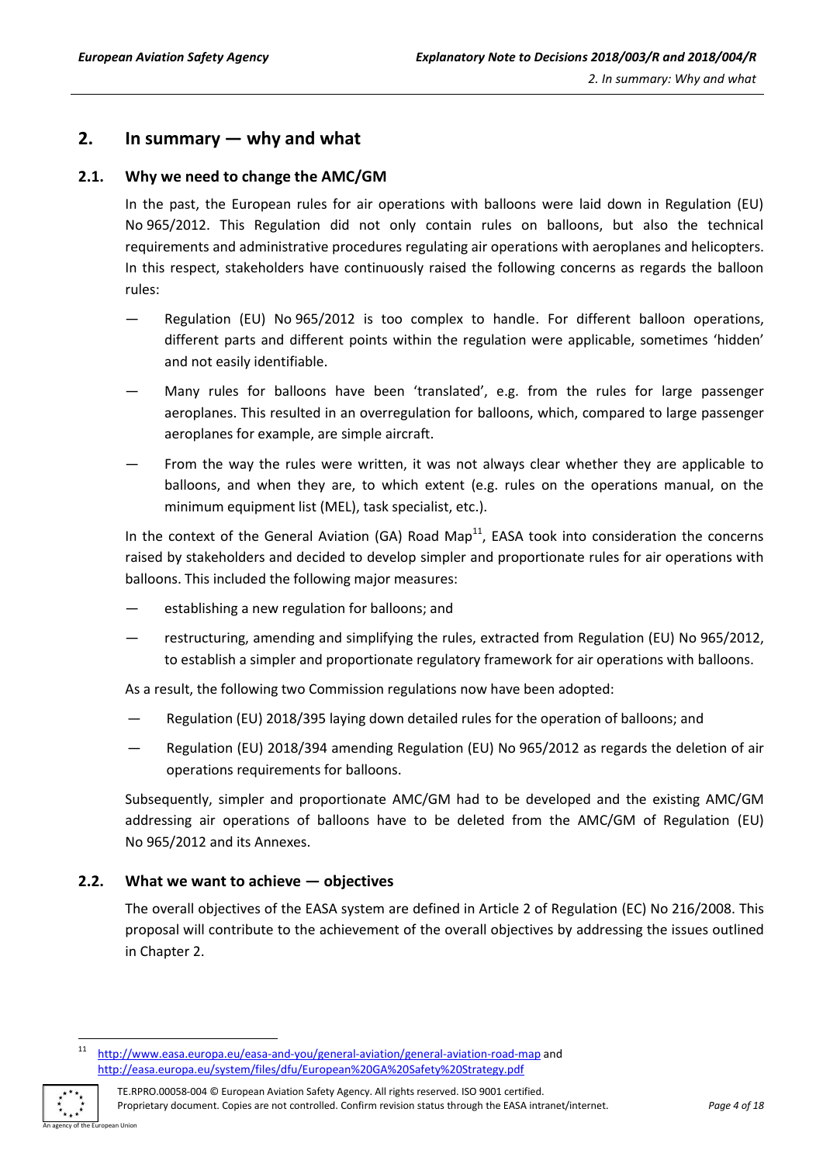## <span id="page-3-0"></span>**2. In summary — why and what**

#### <span id="page-3-1"></span>**2.1. Why we need to change the AMC/GM**

In the past, the European rules for air operations with balloons were laid down in Regulation (EU) No 965/2012. This Regulation did not only contain rules on balloons, but also the technical requirements and administrative procedures regulating air operations with aeroplanes and helicopters. In this respect, stakeholders have continuously raised the following concerns as regards the balloon rules:

- Regulation (EU) No 965/2012 is too complex to handle. For different balloon operations, different parts and different points within the regulation were applicable, sometimes 'hidden' and not easily identifiable.
- Many rules for balloons have been 'translated', e.g. from the rules for large passenger aeroplanes. This resulted in an overregulation for balloons, which, compared to large passenger aeroplanes for example, are simple aircraft.
- From the way the rules were written, it was not always clear whether they are applicable to balloons, and when they are, to which extent (e.g. rules on the operations manual, on the minimum equipment list (MEL), task specialist, etc.).

In the context of the General Aviation (GA) Road Map<sup>11</sup>, EASA took into consideration the concerns raised by stakeholders and decided to develop simpler and proportionate rules for air operations with balloons. This included the following major measures:

- establishing a new regulation for balloons; and
- restructuring, amending and simplifying the rules, extracted from Regulation (EU) No 965/2012, to establish a simpler and proportionate regulatory framework for air operations with balloons.

As a result, the following two Commission regulations now have been adopted:

- Regulation (EU) 2018/395 laying down detailed rules for the operation of balloons; and
- Regulation (EU) 2018/394 amending Regulation (EU) No 965/2012 as regards the deletion of air operations requirements for balloons.

Subsequently, simpler and proportionate AMC/GM had to be developed and the existing AMC/GM addressing air operations of balloons have to be deleted from the AMC/GM of Regulation (EU) No 965/2012 and its Annexes.

#### <span id="page-3-2"></span>**2.2. What we want to achieve — objectives**

The overall objectives of the EASA system are defined in Article 2 of Regulation (EC) No 216/2008. This proposal will contribute to the achievement of the overall objectives by addressing the issues outlined in Chapter 2.

TE.RPRO.00058-004 © European Aviation Safety Agency. All rights reserved. ISO 9001 certified. Proprietary document. Copies are not controlled. Confirm revision status through the EASA intranet/internet. *Page 4 of 18*



 $11$ <http://www.easa.europa.eu/easa-and-you/general-aviation/general-aviation-road-map> and <http://easa.europa.eu/system/files/dfu/European%20GA%20Safety%20Strategy.pdf>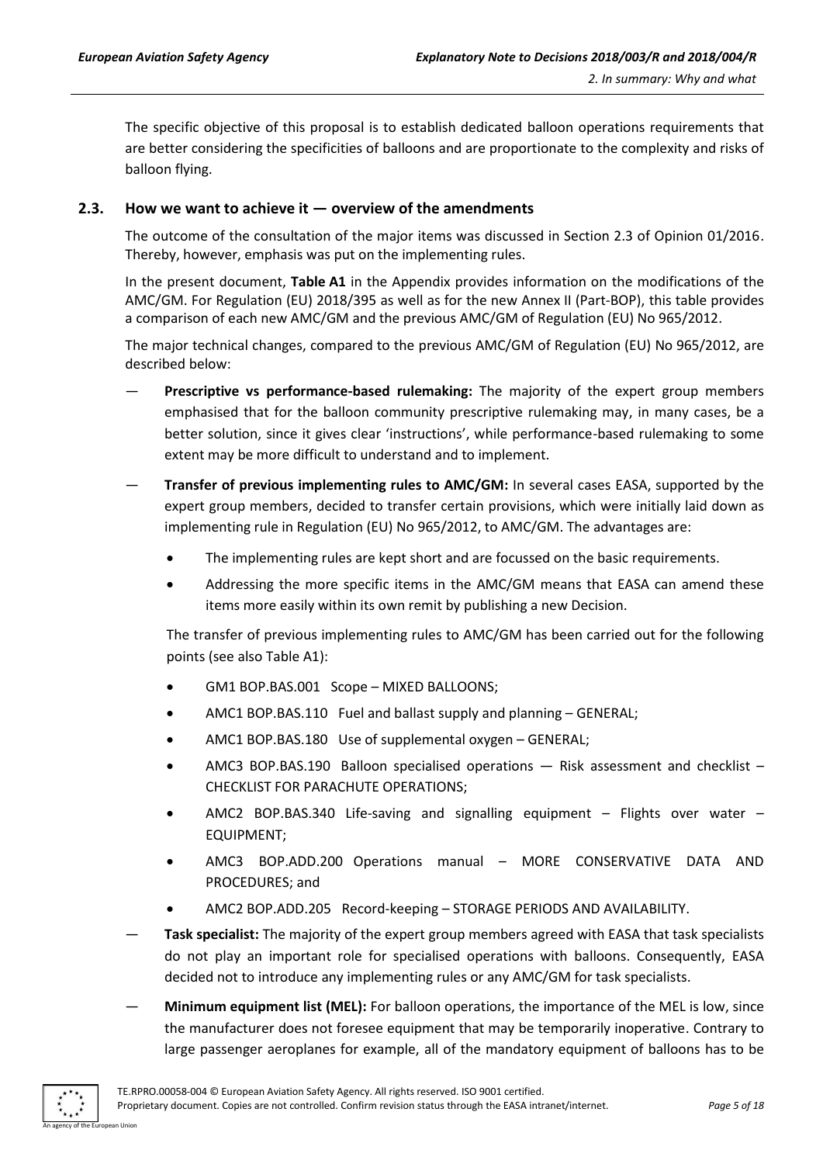The specific objective of this proposal is to establish dedicated balloon operations requirements that are better considering the specificities of balloons and are proportionate to the complexity and risks of balloon flying.

#### <span id="page-4-0"></span>**2.3. How we want to achieve it — overview of the amendments**

The outcome of the consultation of the major items was discussed in Section 2.3 of Opinion 01/2016. Thereby, however, emphasis was put on the implementing rules.

In the present document, **Table A1** in the Appendix provides information on the modifications of the AMC/GM. For Regulation (EU) 2018/395 as well as for the new Annex II (Part-BOP), this table provides a comparison of each new AMC/GM and the previous AMC/GM of Regulation (EU) No 965/2012.

The major technical changes, compared to the previous AMC/GM of Regulation (EU) No 965/2012, are described below:

- **Prescriptive vs performance-based rulemaking:** The majority of the expert group members emphasised that for the balloon community prescriptive rulemaking may, in many cases, be a better solution, since it gives clear 'instructions', while performance-based rulemaking to some extent may be more difficult to understand and to implement.
- **Transfer of previous implementing rules to AMC/GM:** In several cases EASA, supported by the expert group members, decided to transfer certain provisions, which were initially laid down as implementing rule in Regulation (EU) No 965/2012, to AMC/GM. The advantages are:
	- The implementing rules are kept short and are focussed on the basic requirements.
	- Addressing the more specific items in the AMC/GM means that EASA can amend these items more easily within its own remit by publishing a new Decision.

The transfer of previous implementing rules to AMC/GM has been carried out for the following points (see also Table A1):

- GM1 BOP.BAS.001 Scope MIXED BALLOONS;
- AMC1 BOP.BAS.110 Fuel and ballast supply and planning GENERAL;
- AMC1 BOP.BAS.180 Use of supplemental oxygen GENERAL;
- AMC3 BOP.BAS.190 Balloon specialised operations Risk assessment and checklist CHECKLIST FOR PARACHUTE OPERATIONS;
- AMC2 BOP.BAS.340 Life-saving and signalling equipment Flights over water EQUIPMENT;
- AMC3 BOP.ADD.200 Operations manual MORE CONSERVATIVE DATA AND PROCEDURES; and
- AMC2 BOP.ADD.205 Record-keeping STORAGE PERIODS AND AVAILABILITY.
- **Task specialist:** The majority of the expert group members agreed with EASA that task specialists do not play an important role for specialised operations with balloons. Consequently, EASA decided not to introduce any implementing rules or any AMC/GM for task specialists.
- **Minimum equipment list (MEL):** For balloon operations, the importance of the MEL is low, since the manufacturer does not foresee equipment that may be temporarily inoperative. Contrary to large passenger aeroplanes for example, all of the mandatory equipment of balloons has to be

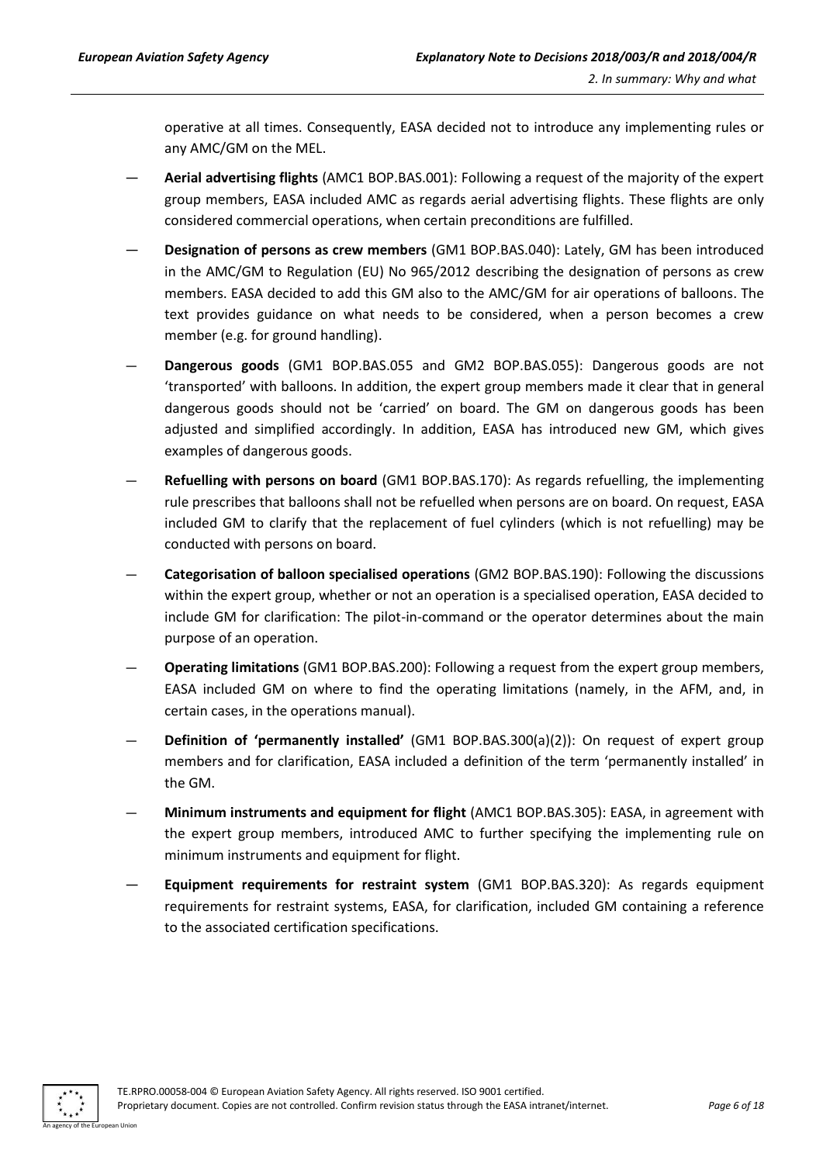operative at all times. Consequently, EASA decided not to introduce any implementing rules or any AMC/GM on the MEL.

- **Aerial advertising flights** (AMC1 BOP.BAS.001): Following a request of the majority of the expert group members, EASA included AMC as regards aerial advertising flights. These flights are only considered commercial operations, when certain preconditions are fulfilled.
- **Designation of persons as crew members** (GM1 BOP.BAS.040): Lately, GM has been introduced in the AMC/GM to Regulation (EU) No 965/2012 describing the designation of persons as crew members. EASA decided to add this GM also to the AMC/GM for air operations of balloons. The text provides guidance on what needs to be considered, when a person becomes a crew member (e.g. for ground handling).
- **Dangerous goods** (GM1 BOP.BAS.055 and GM2 BOP.BAS.055): Dangerous goods are not 'transported' with balloons. In addition, the expert group members made it clear that in general dangerous goods should not be 'carried' on board. The GM on dangerous goods has been adjusted and simplified accordingly. In addition, EASA has introduced new GM, which gives examples of dangerous goods.
- **Refuelling with persons on board** (GM1 BOP.BAS.170): As regards refuelling, the implementing rule prescribes that balloons shall not be refuelled when persons are on board. On request, EASA included GM to clarify that the replacement of fuel cylinders (which is not refuelling) may be conducted with persons on board.
- **Categorisation of balloon specialised operations** (GM2 BOP.BAS.190): Following the discussions within the expert group, whether or not an operation is a specialised operation, EASA decided to include GM for clarification: The pilot-in-command or the operator determines about the main purpose of an operation.
- **Operating limitations** (GM1 BOP.BAS.200): Following a request from the expert group members, EASA included GM on where to find the operating limitations (namely, in the AFM, and, in certain cases, in the operations manual).
- **Definition of 'permanently installed'** (GM1 BOP.BAS.300(a)(2)): On request of expert group members and for clarification, EASA included a definition of the term 'permanently installed' in the GM.
- **Minimum instruments and equipment for flight** (AMC1 BOP.BAS.305): EASA, in agreement with the expert group members, introduced AMC to further specifying the implementing rule on minimum instruments and equipment for flight.
- **Equipment requirements for restraint system** (GM1 BOP.BAS.320): As regards equipment requirements for restraint systems, EASA, for clarification, included GM containing a reference to the associated certification specifications.

An agency of the European Union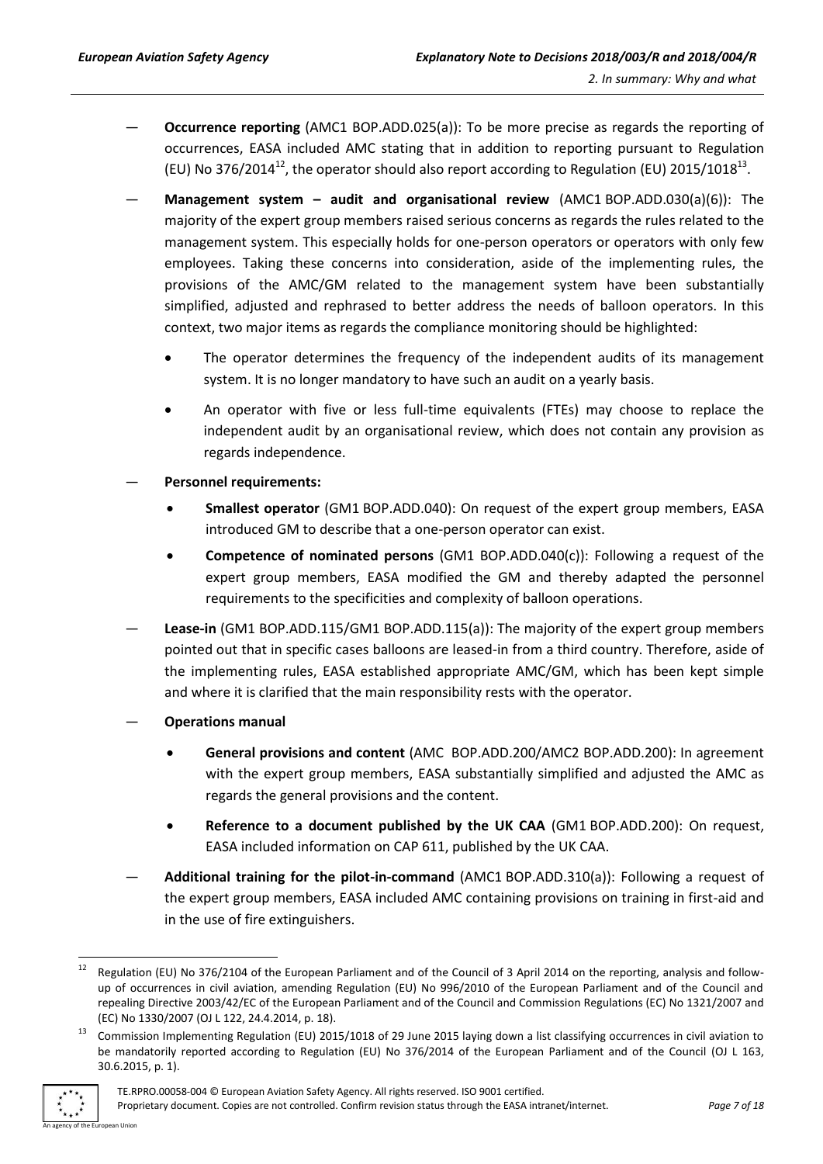- **Occurrence reporting** (AMC1 BOP.ADD.025(a)): To be more precise as regards the reporting of occurrences, EASA included AMC stating that in addition to reporting pursuant to Regulation (EU) No 376/2014<sup>12</sup>, the operator should also report according to Regulation (EU) 2015/1018<sup>13</sup>.
- **Management system – audit and organisational review** (AMC1 BOP.ADD.030(a)(6)): The majority of the expert group members raised serious concerns as regards the rules related to the management system. This especially holds for one-person operators or operators with only few employees. Taking these concerns into consideration, aside of the implementing rules, the provisions of the AMC/GM related to the management system have been substantially simplified, adjusted and rephrased to better address the needs of balloon operators. In this context, two major items as regards the compliance monitoring should be highlighted:
	- The operator determines the frequency of the independent audits of its management system. It is no longer mandatory to have such an audit on a yearly basis.
	- An operator with five or less full-time equivalents (FTEs) may choose to replace the independent audit by an organisational review, which does not contain any provision as regards independence.
- **Personnel requirements:**
	- **Smallest operator** (GM1 BOP.ADD.040): On request of the expert group members, EASA introduced GM to describe that a one-person operator can exist.
	- **Competence of nominated persons** (GM1 BOP.ADD.040(c)): Following a request of the expert group members, EASA modified the GM and thereby adapted the personnel requirements to the specificities and complexity of balloon operations.
- **Lease-in** (GM1 BOP.ADD.115/GM1 BOP.ADD.115(a)): The majority of the expert group members pointed out that in specific cases balloons are leased-in from a third country. Therefore, aside of the implementing rules, EASA established appropriate AMC/GM, which has been kept simple and where it is clarified that the main responsibility rests with the operator.
- **Operations manual**
	- **General provisions and content** (AMC BOP.ADD.200/AMC2 BOP.ADD.200): In agreement with the expert group members, EASA substantially simplified and adjusted the AMC as regards the general provisions and the content.
	- **Reference to a document published by the UK CAA** (GM1 BOP.ADD.200): On request, EASA included information on CAP 611, published by the UK CAA.
- **Additional training for the pilot-in-command** (AMC1 BOP.ADD.310(a)): Following a request of the expert group members, EASA included AMC containing provisions on training in first-aid and in the use of fire extinguishers.

<sup>13</sup> Commission Implementing Regulation (EU) 2015/1018 of 29 June 2015 laying down a list classifying occurrences in civil aviation to be mandatorily reported according to Regulation (EU) No 376/2014 of the European Parliament and of the Council (OJ L 163, 30.6.2015, p. 1).



 $12$ Regulation (EU) No 376/2104 of the European Parliament and of the Council of 3 April 2014 on the reporting, analysis and followup of occurrences in civil aviation, amending Regulation (EU) No 996/2010 of the European Parliament and of the Council and repealing Directive 2003/42/EC of the European Parliament and of the Council and Commission Regulations (EC) No 1321/2007 and (EC) No 1330/2007 (OJ L 122, 24.4.2014, p. 18).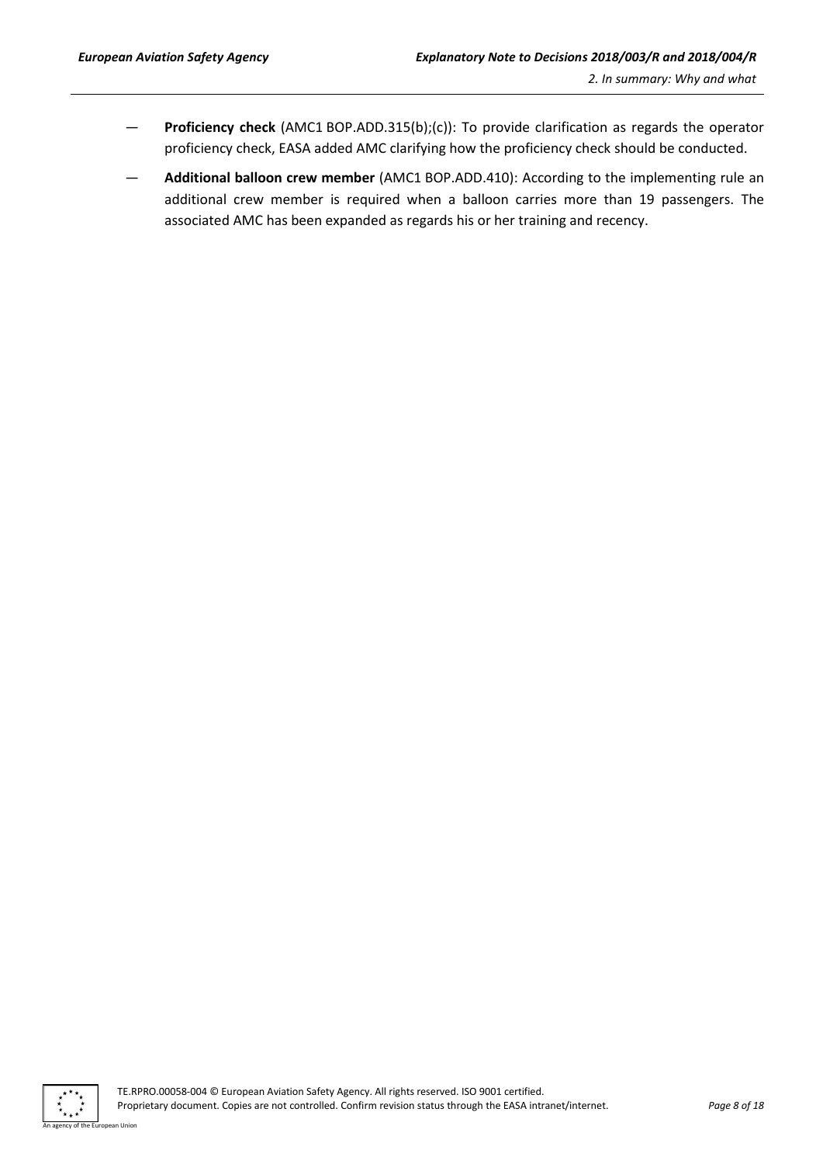- **Proficiency check** (AMC1 BOP.ADD.315(b);(c)): To provide clarification as regards the operator proficiency check, EASA added AMC clarifying how the proficiency check should be conducted.
- **Additional balloon crew member** (AMC1 BOP.ADD.410): According to the implementing rule an additional crew member is required when a balloon carries more than 19 passengers. The associated AMC has been expanded as regards his or her training and recency.

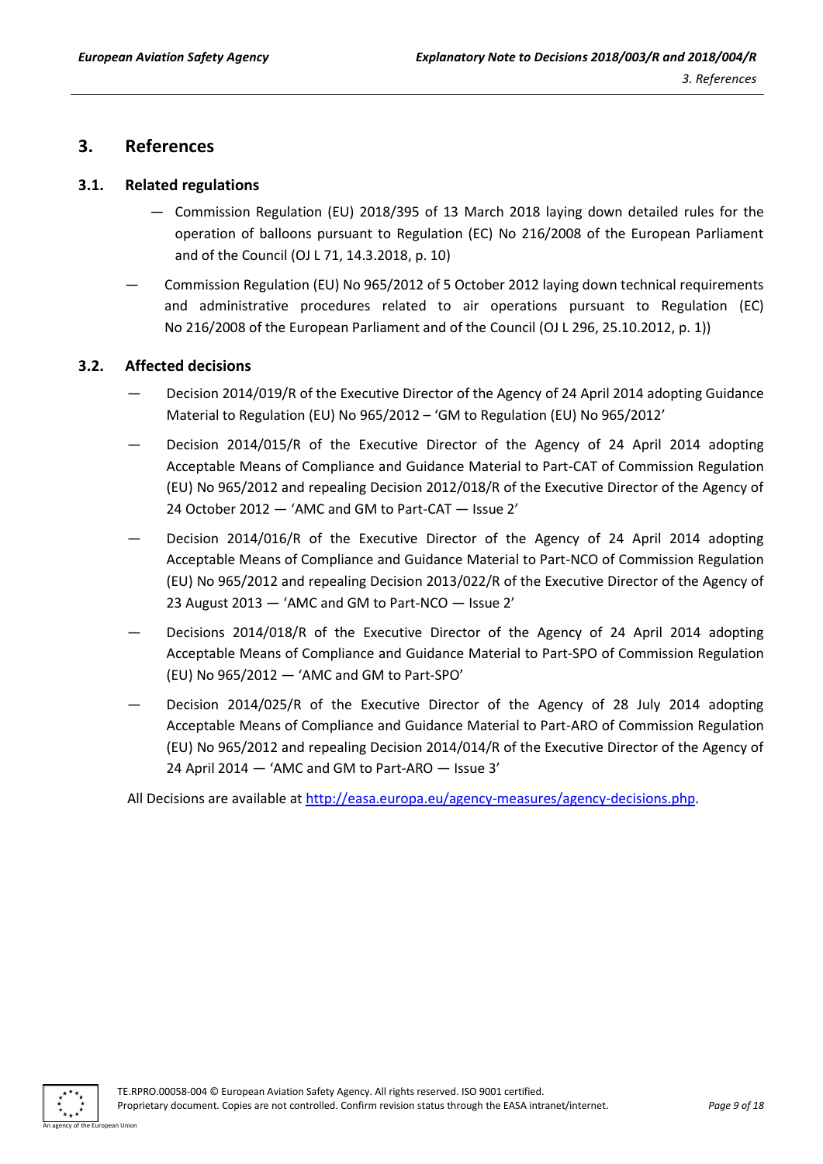## <span id="page-8-0"></span>**3. References**

#### <span id="page-8-1"></span>**3.1. Related regulations**

- Commission Regulation (EU) 2018/395 of 13 March 2018 laying down detailed rules for the operation of balloons pursuant to Regulation (EC) No 216/2008 of the European Parliament and of the Council (OJ L 71, 14.3.2018, p. 10)
- Commission Regulation (EU) No 965/2012 of 5 October 2012 laying down technical requirements and administrative procedures related to air operations pursuant to Regulation (EC) No 216/2008 of the European Parliament and of the Council (OJ L 296, 25.10.2012, p. 1))

#### <span id="page-8-2"></span>**3.2. Affected decisions**

- Decision 2014/019/R of the Executive Director of the Agency of 24 April 2014 adopting Guidance Material to Regulation (EU) No 965/2012 – 'GM to Regulation (EU) No 965/2012'
- Decision 2014/015/R of the Executive Director of the Agency of 24 April 2014 adopting Acceptable Means of Compliance and Guidance Material to Part-CAT of Commission Regulation (EU) No 965/2012 and repealing Decision 2012/018/R of the Executive Director of the Agency of 24 October 2012 — 'AMC and GM to Part-CAT — Issue 2'
- Decision 2014/016/R of the Executive Director of the Agency of 24 April 2014 adopting Acceptable Means of Compliance and Guidance Material to Part-NCO of Commission Regulation (EU) No 965/2012 and repealing Decision 2013/022/R of the Executive Director of the Agency of 23 August 2013 — 'AMC and GM to Part-NCO — Issue 2'
- Decisions 2014/018/R of the Executive Director of the Agency of 24 April 2014 adopting Acceptable Means of Compliance and Guidance Material to Part-SPO of Commission Regulation (EU) No 965/2012 — 'AMC and GM to Part-SPO'
- Decision 2014/025/R of the Executive Director of the Agency of 28 July 2014 adopting Acceptable Means of Compliance and Guidance Material to Part-ARO of Commission Regulation (EU) No 965/2012 and repealing Decision 2014/014/R of the Executive Director of the Agency of 24 April 2014 — 'AMC and GM to Part-ARO — Issue 3'

All Decisions are available at [http://easa.europa.eu/agency-measures/agency-decisions.php.](http://easa.europa.eu/agency-measures/agency-decisions.php)

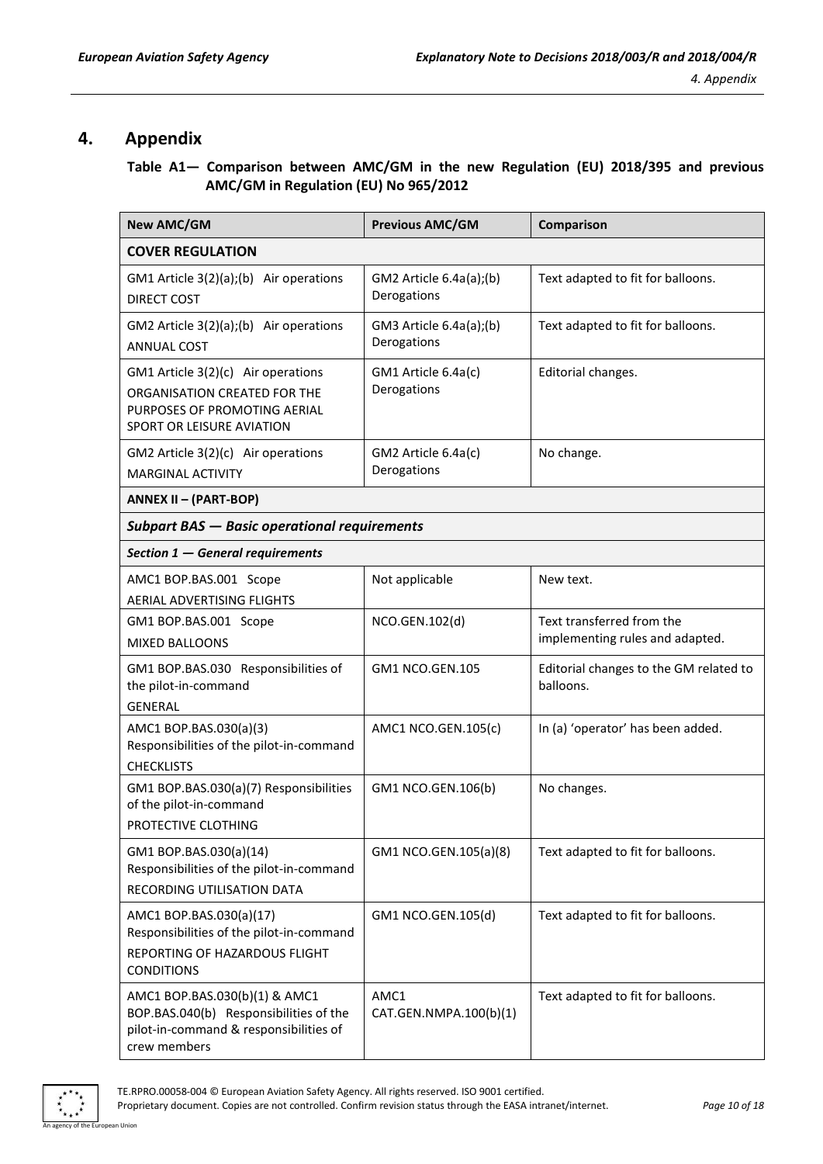## <span id="page-9-0"></span>**4. Appendix**

#### **Table A1— Comparison between AMC/GM in the new Regulation (EU) 2018/395 and previous AMC/GM in Regulation (EU) No 965/2012**

| <b>New AMC/GM</b>                                                                                                                 | <b>Previous AMC/GM</b>                 | Comparison                                                   |  |
|-----------------------------------------------------------------------------------------------------------------------------------|----------------------------------------|--------------------------------------------------------------|--|
| <b>COVER REGULATION</b>                                                                                                           |                                        |                                                              |  |
| GM1 Article 3(2)(a);(b) Air operations<br><b>DIRECT COST</b>                                                                      | GM2 Article 6.4a(a);(b)<br>Derogations | Text adapted to fit for balloons.                            |  |
| GM2 Article 3(2)(a);(b) Air operations<br><b>ANNUAL COST</b>                                                                      | GM3 Article 6.4a(a);(b)<br>Derogations | Text adapted to fit for balloons.                            |  |
| GM1 Article 3(2)(c) Air operations<br>ORGANISATION CREATED FOR THE<br>PURPOSES OF PROMOTING AERIAL<br>SPORT OR LEISURE AVIATION   | GM1 Article 6.4a(c)<br>Derogations     | Editorial changes.                                           |  |
| GM2 Article 3(2)(c) Air operations<br><b>MARGINAL ACTIVITY</b>                                                                    | GM2 Article 6.4a(c)<br>Derogations     | No change.                                                   |  |
| ANNEX II - (PART-BOP)                                                                                                             |                                        |                                                              |  |
| <b>Subpart BAS - Basic operational requirements</b>                                                                               |                                        |                                                              |  |
| Section 1 - General requirements                                                                                                  |                                        |                                                              |  |
| AMC1 BOP.BAS.001 Scope<br><b>AERIAL ADVERTISING FLIGHTS</b>                                                                       | Not applicable                         | New text.                                                    |  |
| GM1 BOP.BAS.001 Scope<br><b>MIXED BALLOONS</b>                                                                                    | NCO.GEN.102(d)                         | Text transferred from the<br>implementing rules and adapted. |  |
| GM1 BOP.BAS.030 Responsibilities of<br>the pilot-in-command<br><b>GENERAL</b>                                                     | <b>GM1 NCO.GEN.105</b>                 | Editorial changes to the GM related to<br>balloons.          |  |
| AMC1 BOP.BAS.030(a)(3)<br>Responsibilities of the pilot-in-command<br><b>CHECKLISTS</b>                                           | AMC1 NCO.GEN.105(c)                    | In (a) 'operator' has been added.                            |  |
| GM1 BOP.BAS.030(a)(7) Responsibilities<br>of the pilot-in-command<br>PROTECTIVE CLOTHING                                          | GM1 NCO.GEN.106(b)                     | No changes.                                                  |  |
| GM1 BOP.BAS.030(a)(14)<br>Responsibilities of the pilot-in-command<br>RECORDING UTILISATION DATA                                  | GM1 NCO.GEN.105(a)(8)                  | Text adapted to fit for balloons.                            |  |
| AMC1 BOP.BAS.030(a)(17)<br>Responsibilities of the pilot-in-command<br>REPORTING OF HAZARDOUS FLIGHT<br><b>CONDITIONS</b>         | GM1 NCO.GEN.105(d)                     | Text adapted to fit for balloons.                            |  |
| AMC1 BOP.BAS.030(b)(1) & AMC1<br>BOP.BAS.040(b) Responsibilities of the<br>pilot-in-command & responsibilities of<br>crew members | AMC1<br>CAT.GEN.NMPA.100(b)(1)         | Text adapted to fit for balloons.                            |  |

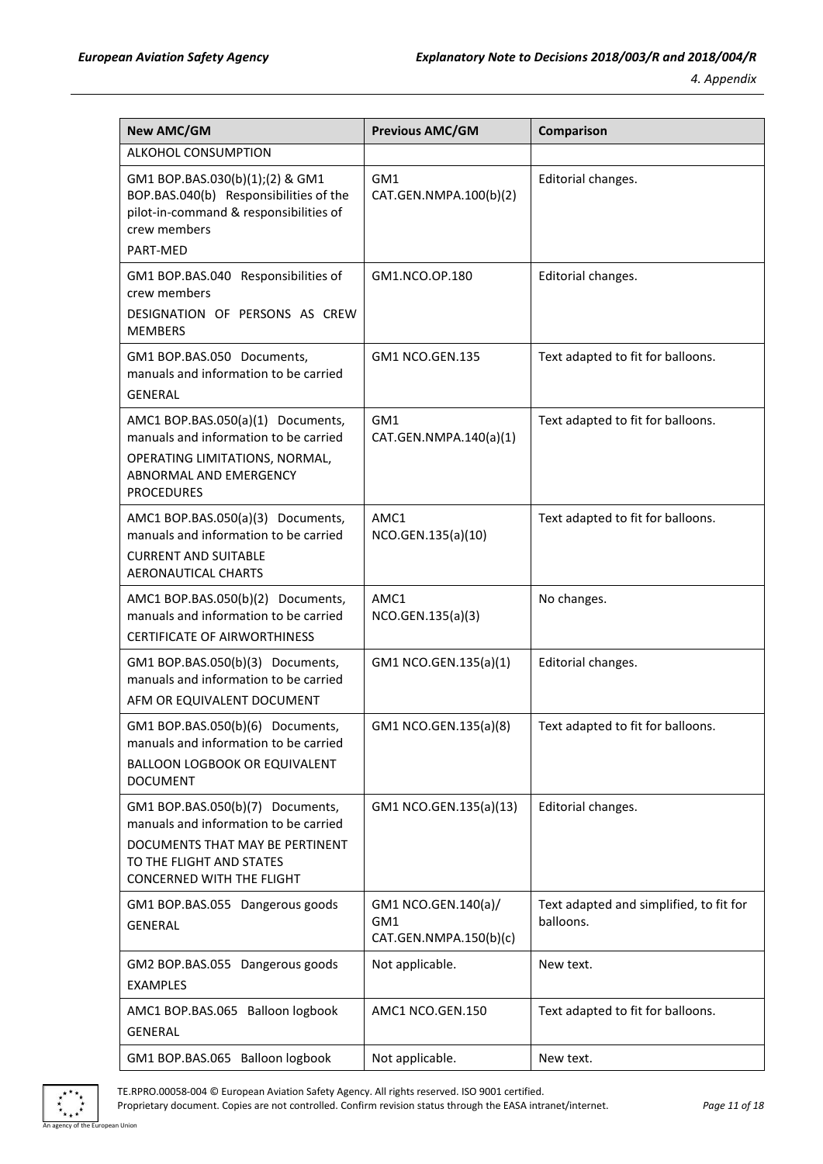| <b>New AMC/GM</b>                                                                                                                                                     | <b>Previous AMC/GM</b>                               | Comparison                                           |
|-----------------------------------------------------------------------------------------------------------------------------------------------------------------------|------------------------------------------------------|------------------------------------------------------|
| <b>ALKOHOL CONSUMPTION</b>                                                                                                                                            |                                                      |                                                      |
| GM1 BOP.BAS.030(b)(1);(2) & GM1<br>BOP.BAS.040(b) Responsibilities of the<br>pilot-in-command & responsibilities of<br>crew members                                   | GM1<br>CAT.GEN.NMPA.100(b)(2)                        | Editorial changes.                                   |
| PART-MED                                                                                                                                                              |                                                      |                                                      |
| GM1 BOP.BAS.040 Responsibilities of<br>crew members<br>DESIGNATION OF PERSONS AS CREW<br><b>MEMBERS</b>                                                               | GM1.NCO.OP.180                                       | Editorial changes.                                   |
| GM1 BOP.BAS.050 Documents,<br>manuals and information to be carried<br><b>GENERAL</b>                                                                                 | GM1 NCO.GEN.135                                      | Text adapted to fit for balloons.                    |
| AMC1 BOP.BAS.050(a)(1) Documents,<br>manuals and information to be carried<br>OPERATING LIMITATIONS, NORMAL,<br>ABNORMAL AND EMERGENCY<br><b>PROCEDURES</b>           | GM1<br>CAT.GEN.NMPA.140(a)(1)                        | Text adapted to fit for balloons.                    |
| AMC1 BOP.BAS.050(a)(3) Documents,<br>manuals and information to be carried<br><b>CURRENT AND SUITABLE</b><br>AERONAUTICAL CHARTS                                      | AMC1<br>NCO.GEN.135(a)(10)                           | Text adapted to fit for balloons.                    |
| AMC1 BOP.BAS.050(b)(2) Documents,<br>manuals and information to be carried<br><b>CERTIFICATE OF AIRWORTHINESS</b>                                                     | AMC1<br>NCO.GEN.135(a)(3)                            | No changes.                                          |
| GM1 BOP.BAS.050(b)(3) Documents,<br>manuals and information to be carried<br>AFM OR EQUIVALENT DOCUMENT                                                               | GM1 NCO.GEN.135(a)(1)                                | Editorial changes.                                   |
| GM1 BOP.BAS.050(b)(6) Documents,<br>manuals and information to be carried<br><b>BALLOON LOGBOOK OR EQUIVALENT</b><br><b>DOCUMENT</b>                                  | GM1 NCO.GEN.135(a)(8)                                | Text adapted to fit for balloons.                    |
| GM1 BOP.BAS.050(b)(7) Documents,<br>manuals and information to be carried<br>DOCUMENTS THAT MAY BE PERTINENT<br>TO THE FLIGHT AND STATES<br>CONCERNED WITH THE FLIGHT | GM1 NCO.GEN.135(a)(13)                               | Editorial changes.                                   |
| GM1 BOP.BAS.055 Dangerous goods<br><b>GENERAL</b>                                                                                                                     | GM1 NCO.GEN.140(a)/<br>GM1<br>CAT.GEN.NMPA.150(b)(c) | Text adapted and simplified, to fit for<br>balloons. |
| GM2 BOP.BAS.055 Dangerous goods<br><b>EXAMPLES</b>                                                                                                                    | Not applicable.                                      | New text.                                            |
| AMC1 BOP.BAS.065 Balloon logbook<br>GENERAL                                                                                                                           | AMC1 NCO.GEN.150                                     | Text adapted to fit for balloons.                    |
| GM1 BOP.BAS.065 Balloon logbook                                                                                                                                       | Not applicable.                                      | New text.                                            |



TE.RPRO.00058-004 © European Aviation Safety Agency. All rights reserved. ISO 9001 certified. Proprietary document. Copies are not controlled. Confirm revision status through the EASA intranet/internet. *Page 11 of 18* n Union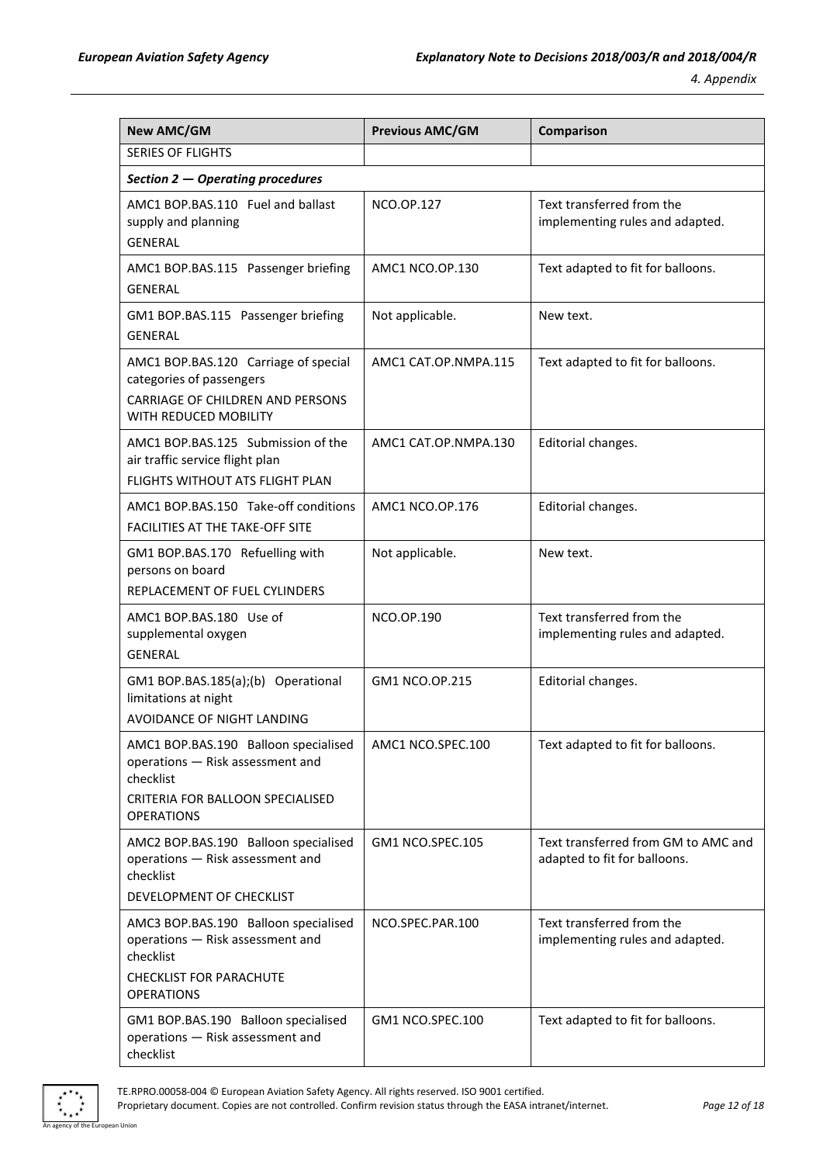| <b>New AMC/GM</b>                                                                                                                                                        | <b>Previous AMC/GM</b> | Comparison                                                          |
|--------------------------------------------------------------------------------------------------------------------------------------------------------------------------|------------------------|---------------------------------------------------------------------|
| <b>SERIES OF FLIGHTS</b>                                                                                                                                                 |                        |                                                                     |
| Section 2 - Operating procedures                                                                                                                                         |                        |                                                                     |
| AMC1 BOP.BAS.110 Fuel and ballast<br>supply and planning<br><b>GENERAL</b>                                                                                               | NCO.OP.127             | Text transferred from the<br>implementing rules and adapted.        |
| AMC1 BOP.BAS.115 Passenger briefing<br><b>GENERAL</b>                                                                                                                    | AMC1 NCO.OP.130        | Text adapted to fit for balloons.                                   |
| GM1 BOP.BAS.115 Passenger briefing<br><b>GENERAL</b>                                                                                                                     | Not applicable.        | New text.                                                           |
| AMC1 BOP.BAS.120 Carriage of special<br>categories of passengers<br>CARRIAGE OF CHILDREN AND PERSONS<br>WITH REDUCED MOBILITY                                            | AMC1 CAT.OP.NMPA.115   | Text adapted to fit for balloons.                                   |
| AMC1 BOP.BAS.125 Submission of the<br>air traffic service flight plan<br>FLIGHTS WITHOUT ATS FLIGHT PLAN                                                                 | AMC1 CAT.OP.NMPA.130   | Editorial changes.                                                  |
| AMC1 BOP.BAS.150 Take-off conditions<br>FACILITIES AT THE TAKE-OFF SITE                                                                                                  | AMC1 NCO.OP.176        | Editorial changes.                                                  |
| GM1 BOP.BAS.170 Refuelling with<br>persons on board<br>REPLACEMENT OF FUEL CYLINDERS                                                                                     | Not applicable.        | New text.                                                           |
| AMC1 BOP.BAS.180 Use of<br>supplemental oxygen<br><b>GENERAL</b>                                                                                                         | <b>NCO.OP.190</b>      | Text transferred from the<br>implementing rules and adapted.        |
| GM1 BOP.BAS.185(a);(b) Operational<br>limitations at night<br>AVOIDANCE OF NIGHT LANDING                                                                                 | GM1 NCO.OP.215         | Editorial changes.                                                  |
| AMC1 BOP.BAS.190 Balloon specialised<br>operations - Risk assessment and<br>checklist<br>CRITERIA FOR BALLOON SPECIALISED<br><b>OPERATIONS</b>                           | AMC1 NCO.SPEC.100      | Text adapted to fit for balloons.                                   |
| AMC2 BOP.BAS.190 Balloon specialised<br>operations - Risk assessment and<br>checklist                                                                                    | GM1 NCO.SPEC.105       | Text transferred from GM to AMC and<br>adapted to fit for balloons. |
| DEVELOPMENT OF CHECKLIST<br>AMC3 BOP.BAS.190 Balloon specialised<br>operations - Risk assessment and<br>checklist<br><b>CHECKLIST FOR PARACHUTE</b><br><b>OPERATIONS</b> | NCO.SPEC.PAR.100       | Text transferred from the<br>implementing rules and adapted.        |
| GM1 BOP.BAS.190 Balloon specialised<br>operations - Risk assessment and<br>checklist                                                                                     | GM1 NCO.SPEC.100       | Text adapted to fit for balloons.                                   |

 $*$ 

TE.RPRO.00058-004 © European Aviation Safety Agency. All rights reserved. ISO 9001 certified. Proprietary document. Copies are not controlled. Confirm revision status through the EASA intranet/internet. *Page 12 of 18* n Union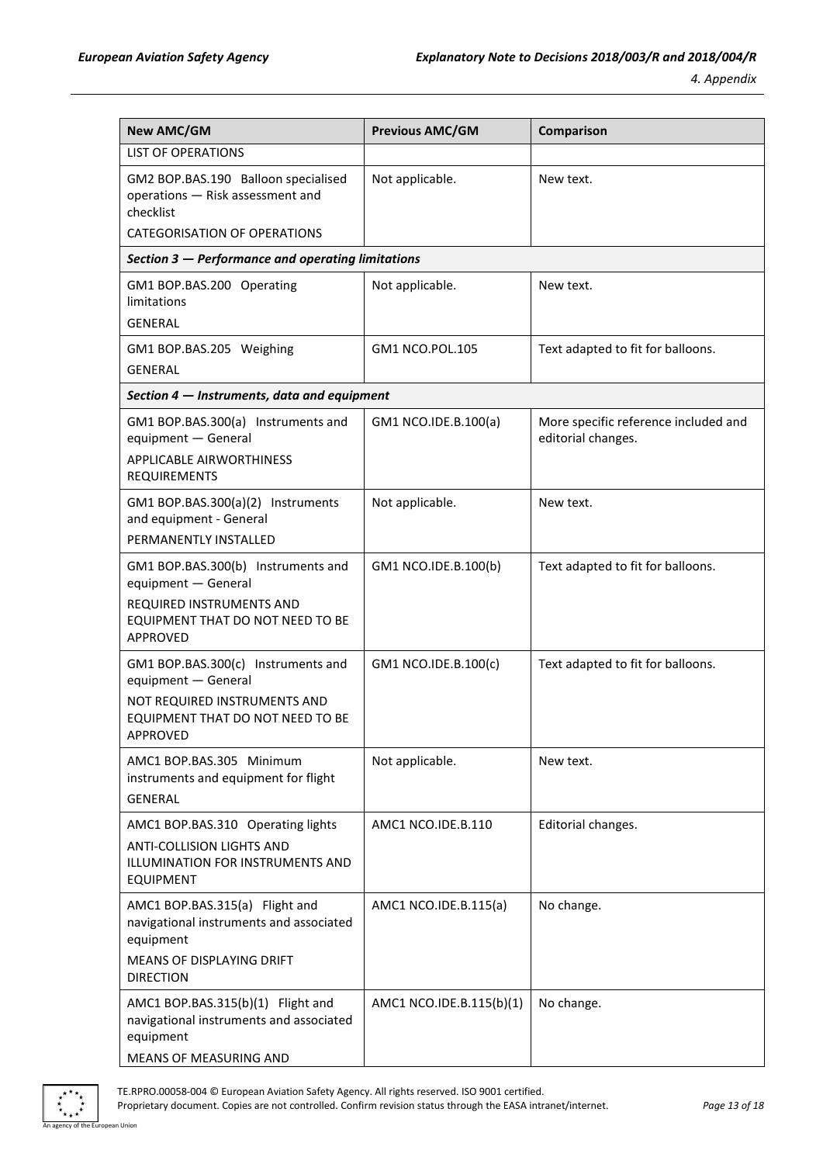| <b>New AMC/GM</b>                                                                                                                                | <b>Previous AMC/GM</b>   | Comparison                                                 |
|--------------------------------------------------------------------------------------------------------------------------------------------------|--------------------------|------------------------------------------------------------|
| <b>LIST OF OPERATIONS</b>                                                                                                                        |                          |                                                            |
| GM2 BOP.BAS.190 Balloon specialised<br>operations - Risk assessment and<br>checklist                                                             | Not applicable.          | New text.                                                  |
| <b>CATEGORISATION OF OPERATIONS</b>                                                                                                              |                          |                                                            |
| Section 3 - Performance and operating limitations                                                                                                |                          |                                                            |
| GM1 BOP.BAS.200 Operating<br>limitations<br><b>GENERAL</b>                                                                                       | Not applicable.          | New text.                                                  |
|                                                                                                                                                  | GM1 NCO.POL.105          |                                                            |
| GM1 BOP.BAS.205 Weighing<br><b>GENERAL</b>                                                                                                       |                          | Text adapted to fit for balloons.                          |
| Section 4 – Instruments, data and equipment                                                                                                      |                          |                                                            |
|                                                                                                                                                  |                          |                                                            |
| GM1 BOP.BAS.300(a) Instruments and<br>equipment - General<br><b>APPLICABLE AIRWORTHINESS</b><br>REQUIREMENTS                                     | GM1 NCO.IDE.B.100(a)     | More specific reference included and<br>editorial changes. |
| GM1 BOP.BAS.300(a)(2) Instruments<br>and equipment - General<br>PERMANENTLY INSTALLED                                                            | Not applicable.          | New text.                                                  |
| GM1 BOP.BAS.300(b) Instruments and<br>equipment - General<br>REQUIRED INSTRUMENTS AND<br>EQUIPMENT THAT DO NOT NEED TO BE<br><b>APPROVED</b>     | GM1 NCO.IDE.B.100(b)     | Text adapted to fit for balloons.                          |
| GM1 BOP.BAS.300(c) Instruments and<br>equipment - General<br>NOT REQUIRED INSTRUMENTS AND<br>EQUIPMENT THAT DO NOT NEED TO BE<br><b>APPROVED</b> | GM1 NCO.IDE.B.100(c)     | Text adapted to fit for balloons.                          |
| AMC1 BOP.BAS.305 Minimum<br>instruments and equipment for flight<br><b>GENERAL</b>                                                               | Not applicable.          | New text.                                                  |
| AMC1 BOP.BAS.310 Operating lights<br>ANTI-COLLISION LIGHTS AND<br>ILLUMINATION FOR INSTRUMENTS AND<br><b>EQUIPMENT</b>                           | AMC1 NCO.IDE.B.110       | Editorial changes.                                         |
| AMC1 BOP.BAS.315(a) Flight and<br>navigational instruments and associated<br>equipment<br>MEANS OF DISPLAYING DRIFT<br><b>DIRECTION</b>          | AMC1 NCO.IDE.B.115(a)    | No change.                                                 |
| AMC1 BOP.BAS.315(b)(1) Flight and<br>navigational instruments and associated<br>equipment<br>MEANS OF MEASURING AND                              | AMC1 NCO.IDE.B.115(b)(1) | No change.                                                 |



TE.RPRO.00058-004 © European Aviation Safety Agency. All rights reserved. ISO 9001 certified. Proprietary document. Copies are not controlled. Confirm revision status through the EASA intranet/internet. *Page 13 of 18* n Union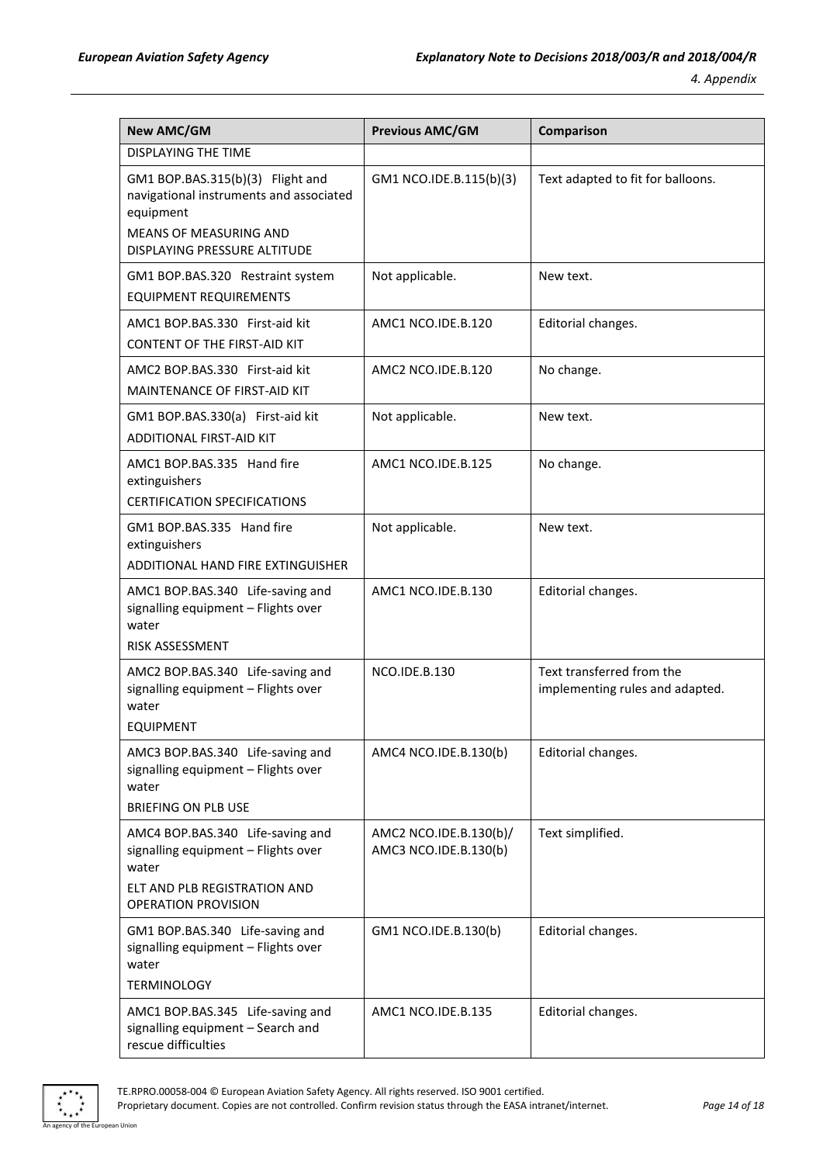| <b>New AMC/GM</b>                                                                                                                                         | <b>Previous AMC/GM</b>                          | Comparison                                                   |
|-----------------------------------------------------------------------------------------------------------------------------------------------------------|-------------------------------------------------|--------------------------------------------------------------|
| <b>DISPLAYING THE TIME</b>                                                                                                                                |                                                 |                                                              |
| GM1 BOP.BAS.315(b)(3) Flight and<br>navigational instruments and associated<br>equipment<br><b>MEANS OF MEASURING AND</b><br>DISPLAYING PRESSURE ALTITUDE | GM1 NCO.IDE.B.115(b)(3)                         | Text adapted to fit for balloons.                            |
| GM1 BOP.BAS.320 Restraint system<br><b>EQUIPMENT REQUIREMENTS</b>                                                                                         | Not applicable.                                 | New text.                                                    |
| AMC1 BOP.BAS.330 First-aid kit<br><b>CONTENT OF THE FIRST-AID KIT</b>                                                                                     | AMC1 NCO.IDE.B.120                              | Editorial changes.                                           |
| AMC2 BOP.BAS.330 First-aid kit<br>MAINTENANCE OF FIRST-AID KIT                                                                                            | AMC2 NCO.IDE.B.120                              | No change.                                                   |
| GM1 BOP.BAS.330(a) First-aid kit<br><b>ADDITIONAL FIRST-AID KIT</b>                                                                                       | Not applicable.                                 | New text.                                                    |
| AMC1 BOP.BAS.335 Hand fire<br>extinguishers<br><b>CERTIFICATION SPECIFICATIONS</b>                                                                        | AMC1 NCO.IDE.B.125                              | No change.                                                   |
| GM1 BOP.BAS.335 Hand fire<br>extinguishers<br>ADDITIONAL HAND FIRE EXTINGUISHER                                                                           | Not applicable.                                 | New text.                                                    |
| AMC1 BOP.BAS.340 Life-saving and<br>signalling equipment - Flights over<br>water                                                                          | AMC1 NCO.IDE.B.130                              | Editorial changes.                                           |
| RISK ASSESSMENT<br>AMC2 BOP.BAS.340 Life-saving and<br>signalling equipment - Flights over<br>water<br><b>EQUIPMENT</b>                                   | <b>NCO.IDE.B.130</b>                            | Text transferred from the<br>implementing rules and adapted. |
| AMC3 BOP.BAS.340 Life-saving and<br>signalling equipment - Flights over<br>water<br><b>BRIEFING ON PLB USE</b>                                            | AMC4 NCO.IDE.B.130(b)                           | Editorial changes.                                           |
| AMC4 BOP.BAS.340 Life-saving and<br>signalling equipment - Flights over<br>water<br>ELT AND PLB REGISTRATION AND<br><b>OPERATION PROVISION</b>            | AMC2 NCO.IDE.B.130(b)/<br>AMC3 NCO.IDE.B.130(b) | Text simplified.                                             |
| GM1 BOP.BAS.340 Life-saving and<br>signalling equipment - Flights over<br>water<br><b>TERMINOLOGY</b>                                                     | GM1 NCO.IDE.B.130(b)                            | Editorial changes.                                           |
| AMC1 BOP.BAS.345 Life-saving and<br>signalling equipment - Search and<br>rescue difficulties                                                              | AMC1 NCO.IDE.B.135                              | Editorial changes.                                           |

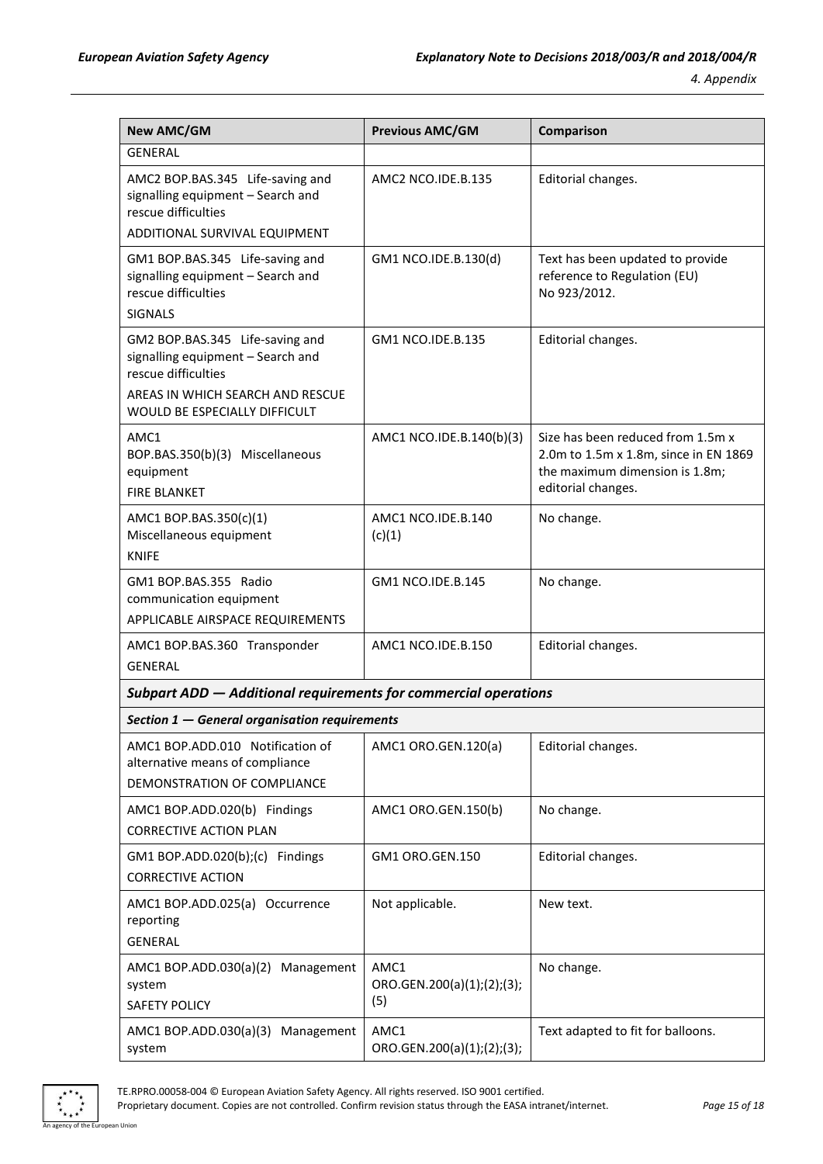| <b>New AMC/GM</b>                                                                                                                                                | <b>Previous AMC/GM</b>                    | Comparison                                                                                                                         |
|------------------------------------------------------------------------------------------------------------------------------------------------------------------|-------------------------------------------|------------------------------------------------------------------------------------------------------------------------------------|
| <b>GENERAL</b>                                                                                                                                                   |                                           |                                                                                                                                    |
| AMC2 BOP.BAS.345 Life-saving and<br>signalling equipment - Search and<br>rescue difficulties<br>ADDITIONAL SURVIVAL EQUIPMENT                                    | AMC2 NCO.IDE.B.135                        | Editorial changes.                                                                                                                 |
| GM1 BOP.BAS.345 Life-saving and<br>signalling equipment - Search and<br>rescue difficulties<br><b>SIGNALS</b>                                                    | GM1 NCO.IDE.B.130(d)                      | Text has been updated to provide<br>reference to Regulation (EU)<br>No 923/2012.                                                   |
| GM2 BOP.BAS.345 Life-saving and<br>signalling equipment - Search and<br>rescue difficulties<br>AREAS IN WHICH SEARCH AND RESCUE<br>WOULD BE ESPECIALLY DIFFICULT | GM1 NCO.IDE.B.135                         | Editorial changes.                                                                                                                 |
| AMC1<br>BOP.BAS.350(b)(3) Miscellaneous<br>equipment<br><b>FIRE BLANKET</b>                                                                                      | AMC1 NCO.IDE.B.140(b)(3)                  | Size has been reduced from 1.5m x<br>2.0m to 1.5m x 1.8m, since in EN 1869<br>the maximum dimension is 1.8m;<br>editorial changes. |
| AMC1 BOP.BAS.350(c)(1)<br>Miscellaneous equipment<br><b>KNIFE</b>                                                                                                | AMC1 NCO.IDE.B.140<br>(c)(1)              | No change.                                                                                                                         |
| GM1 BOP.BAS.355 Radio<br>communication equipment<br>APPLICABLE AIRSPACE REQUIREMENTS                                                                             | GM1 NCO.IDE.B.145                         | No change.                                                                                                                         |
| AMC1 BOP.BAS.360 Transponder<br><b>GENERAL</b>                                                                                                                   | AMC1 NCO.IDE.B.150                        | Editorial changes.                                                                                                                 |
| Subpart ADD - Additional requirements for commercial operations                                                                                                  |                                           |                                                                                                                                    |
| Section 1 - General organisation requirements                                                                                                                    |                                           |                                                                                                                                    |
| AMC1 BOP.ADD.010 Notification of<br>alternative means of compliance<br>DEMONSTRATION OF COMPLIANCE                                                               | AMC1 ORO.GEN.120(a)                       | Editorial changes.                                                                                                                 |
| AMC1 BOP.ADD.020(b) Findings<br><b>CORRECTIVE ACTION PLAN</b>                                                                                                    | AMC1 ORO.GEN.150(b)                       | No change.                                                                                                                         |
| GM1 BOP.ADD.020(b);(c) Findings<br><b>CORRECTIVE ACTION</b>                                                                                                      | GM1 ORO.GEN.150                           | Editorial changes.                                                                                                                 |
| AMC1 BOP.ADD.025(a) Occurrence<br>reporting<br><b>GENERAL</b>                                                                                                    | Not applicable.                           | New text.                                                                                                                          |
| AMC1 BOP.ADD.030(a)(2)<br>Management<br>system<br><b>SAFETY POLICY</b>                                                                                           | AMC1<br>ORO.GEN.200(a)(1);(2);(3);<br>(5) | No change.                                                                                                                         |
| AMC1 BOP.ADD.030(a)(3) Management<br>system                                                                                                                      | AMC1<br>ORO.GEN.200(a)(1);(2);(3);        | Text adapted to fit for balloons.                                                                                                  |

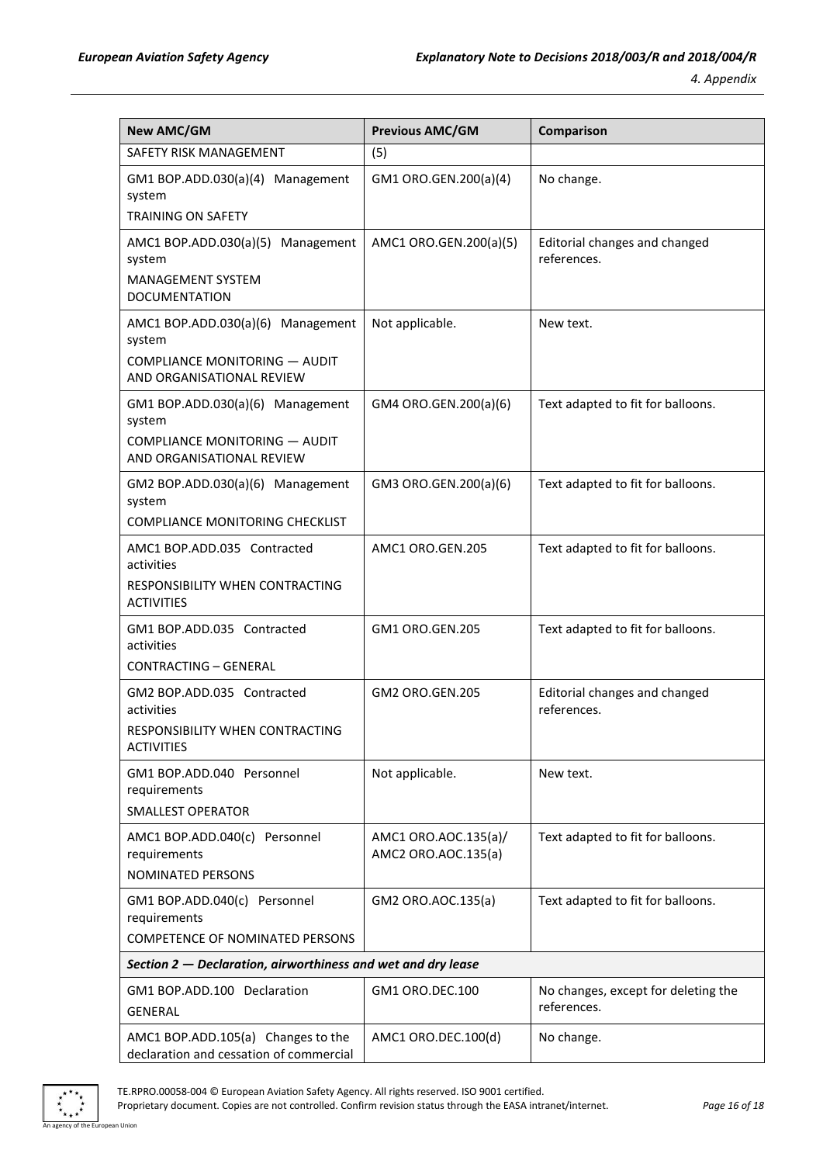| <b>New AMC/GM</b>                                                                                                | <b>Previous AMC/GM</b>                      | Comparison                                         |
|------------------------------------------------------------------------------------------------------------------|---------------------------------------------|----------------------------------------------------|
| <b>SAFETY RISK MANAGEMENT</b>                                                                                    | (5)                                         |                                                    |
| GM1 BOP.ADD.030(a)(4) Management<br>system<br><b>TRAINING ON SAFETY</b>                                          | GM1 ORO.GEN.200(a)(4)                       | No change.                                         |
| AMC1 BOP.ADD.030(a)(5) Management<br>system<br><b>MANAGEMENT SYSTEM</b><br><b>DOCUMENTATION</b>                  | AMC1 ORO.GEN.200(a)(5)                      | Editorial changes and changed<br>references.       |
| AMC1 BOP.ADD.030(a)(6) Management<br>system<br><b>COMPLIANCE MONITORING - AUDIT</b><br>AND ORGANISATIONAL REVIEW | Not applicable.                             | New text.                                          |
| GM1 BOP.ADD.030(a)(6) Management<br>system<br><b>COMPLIANCE MONITORING - AUDIT</b><br>AND ORGANISATIONAL REVIEW  | GM4 ORO.GEN.200(a)(6)                       | Text adapted to fit for balloons.                  |
| GM2 BOP.ADD.030(a)(6) Management<br>system<br><b>COMPLIANCE MONITORING CHECKLIST</b>                             | GM3 ORO.GEN.200(a)(6)                       | Text adapted to fit for balloons.                  |
| AMC1 BOP.ADD.035 Contracted<br>activities<br>RESPONSIBILITY WHEN CONTRACTING<br><b>ACTIVITIES</b>                | AMC1 ORO.GEN.205                            | Text adapted to fit for balloons.                  |
| GM1 BOP.ADD.035 Contracted<br>activities<br><b>CONTRACTING - GENERAL</b>                                         | GM1 ORO.GEN.205                             | Text adapted to fit for balloons.                  |
| GM2 BOP.ADD.035 Contracted<br>activities<br>RESPONSIBILITY WHEN CONTRACTING<br><b>ACTIVITIES</b>                 | GM2 ORO.GEN.205                             | Editorial changes and changed<br>references.       |
| GM1 BOP.ADD.040 Personnel<br>requirements<br><b>SMALLEST OPERATOR</b>                                            | Not applicable.                             | New text.                                          |
| AMC1 BOP.ADD.040(c) Personnel<br>requirements<br>NOMINATED PERSONS                                               | AMC1 ORO.AOC.135(a)/<br>AMC2 ORO.AOC.135(a) | Text adapted to fit for balloons.                  |
| GM1 BOP.ADD.040(c) Personnel<br>requirements<br><b>COMPETENCE OF NOMINATED PERSONS</b>                           | GM2 ORO.AOC.135(a)                          | Text adapted to fit for balloons.                  |
| Section 2 – Declaration, airworthiness and wet and dry lease                                                     |                                             |                                                    |
| GM1 BOP.ADD.100 Declaration<br><b>GENERAL</b>                                                                    | GM1 ORO.DEC.100                             | No changes, except for deleting the<br>references. |
| AMC1 BOP.ADD.105(a) Changes to the<br>declaration and cessation of commercial                                    | AMC1 ORO.DEC.100(d)                         | No change.                                         |



TE.RPRO.00058-004 © European Aviation Safety Agency. All rights reserved. ISO 9001 certified.

Proprietary document. Copies are not controlled. Confirm revision status through the EASA intranet/internet. *Page 16 of 18* n Union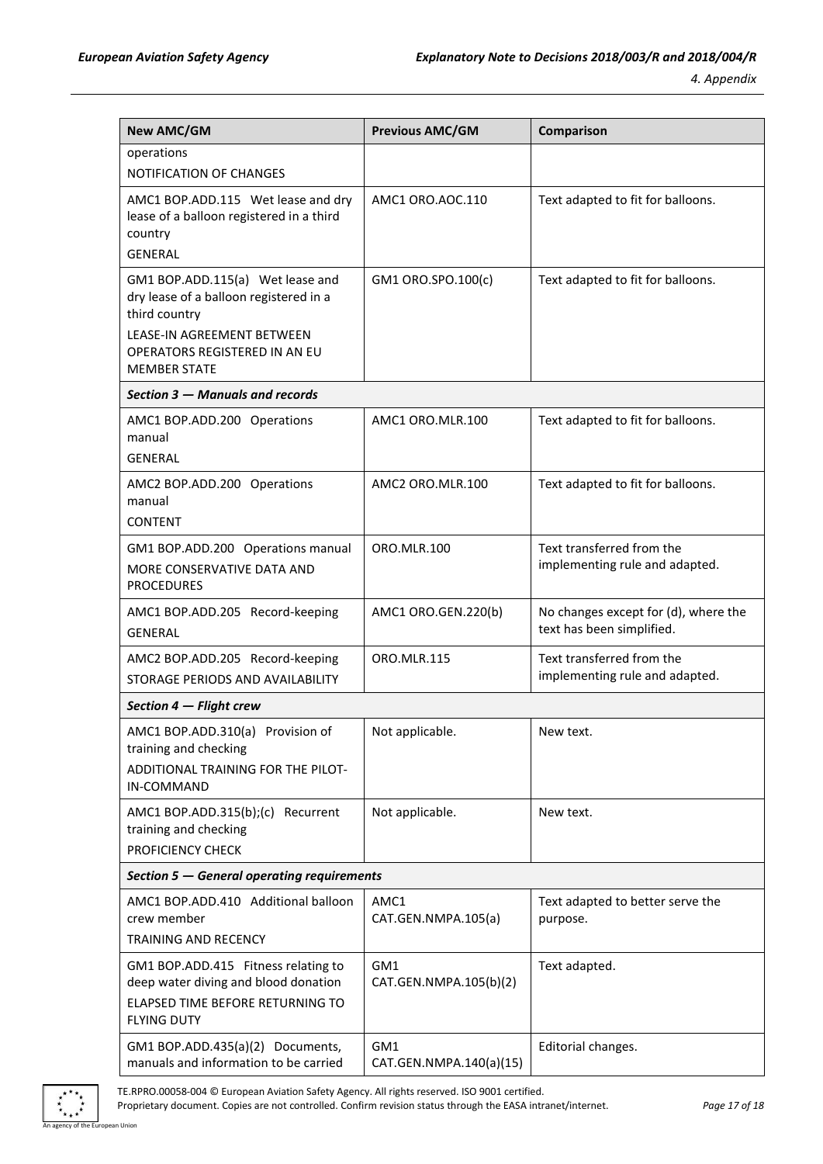| <b>New AMC/GM</b>                                                                                                                                                                 | <b>Previous AMC/GM</b>         | Comparison                                                        |  |
|-----------------------------------------------------------------------------------------------------------------------------------------------------------------------------------|--------------------------------|-------------------------------------------------------------------|--|
| operations                                                                                                                                                                        |                                |                                                                   |  |
| NOTIFICATION OF CHANGES                                                                                                                                                           |                                |                                                                   |  |
| AMC1 BOP.ADD.115 Wet lease and dry<br>lease of a balloon registered in a third<br>country<br><b>GENERAL</b>                                                                       | AMC1 ORO.AOC.110               | Text adapted to fit for balloons.                                 |  |
| GM1 BOP.ADD.115(a) Wet lease and<br>dry lease of a balloon registered in a<br>third country<br>LEASE-IN AGREEMENT BETWEEN<br>OPERATORS REGISTERED IN AN EU<br><b>MEMBER STATE</b> | GM1 ORO.SPO.100(c)             | Text adapted to fit for balloons.                                 |  |
| Section 3 - Manuals and records                                                                                                                                                   |                                |                                                                   |  |
| AMC1 BOP.ADD.200 Operations<br>manual<br><b>GENERAL</b>                                                                                                                           | AMC1 ORO.MLR.100               | Text adapted to fit for balloons.                                 |  |
| AMC2 BOP.ADD.200 Operations<br>manual<br><b>CONTENT</b>                                                                                                                           | AMC2 ORO.MLR.100               | Text adapted to fit for balloons.                                 |  |
| GM1 BOP.ADD.200 Operations manual<br>MORE CONSERVATIVE DATA AND<br><b>PROCEDURES</b>                                                                                              | ORO.MLR.100                    | Text transferred from the<br>implementing rule and adapted.       |  |
| AMC1 BOP.ADD.205 Record-keeping<br><b>GENERAL</b>                                                                                                                                 | AMC1 ORO.GEN.220(b)            | No changes except for (d), where the<br>text has been simplified. |  |
| AMC2 BOP.ADD.205 Record-keeping<br>STORAGE PERIODS AND AVAILABILITY                                                                                                               | <b>ORO.MLR.115</b>             | Text transferred from the<br>implementing rule and adapted.       |  |
| Section 4 - Flight crew                                                                                                                                                           |                                |                                                                   |  |
| AMC1 BOP.ADD.310(a) Provision of<br>training and checking<br>ADDITIONAL TRAINING FOR THE PILOT-<br>IN-COMMAND                                                                     | Not applicable.                | New text.                                                         |  |
| AMC1 BOP.ADD.315(b);(c) Recurrent<br>training and checking<br>PROFICIENCY CHECK                                                                                                   | Not applicable.                | New text.                                                         |  |
| Section 5 – General operating requirements                                                                                                                                        |                                |                                                                   |  |
| AMC1 BOP.ADD.410 Additional balloon<br>crew member<br>TRAINING AND RECENCY                                                                                                        | AMC1<br>CAT.GEN.NMPA.105(a)    | Text adapted to better serve the<br>purpose.                      |  |
| GM1 BOP.ADD.415 Fitness relating to<br>deep water diving and blood donation<br>ELAPSED TIME BEFORE RETURNING TO<br><b>FLYING DUTY</b>                                             | GM1<br>CAT.GEN.NMPA.105(b)(2)  | Text adapted.                                                     |  |
| GM1 BOP.ADD.435(a)(2) Documents,<br>manuals and information to be carried                                                                                                         | GM1<br>CAT.GEN.NMPA.140(a)(15) | Editorial changes.                                                |  |

 $*$